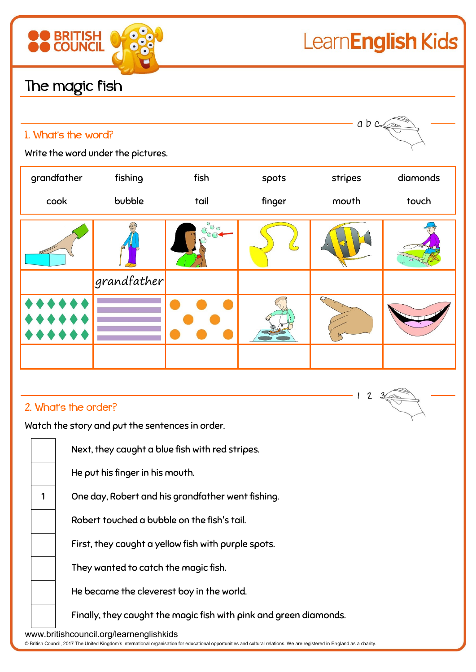

## 2. What's the order?

Watch the story and put the sentences in order.

|                                                                                                                                                                                                                     |  | Next, they caught a blue fish with red stripes.                   |
|---------------------------------------------------------------------------------------------------------------------------------------------------------------------------------------------------------------------|--|-------------------------------------------------------------------|
|                                                                                                                                                                                                                     |  | He put his finger in his mouth.                                   |
|                                                                                                                                                                                                                     |  | One day, Robert and his grandfather went fishing.                 |
|                                                                                                                                                                                                                     |  | Robert touched a bubble on the fish's tail.                       |
|                                                                                                                                                                                                                     |  | First, they caught a yellow fish with purple spots.               |
|                                                                                                                                                                                                                     |  | They wanted to catch the magic fish.                              |
|                                                                                                                                                                                                                     |  | He became the cleverest boy in the world.                         |
|                                                                                                                                                                                                                     |  | Finally, they caught the magic fish with pink and green diamonds. |
| www.britishcouncil.org/learnenglishkids<br>@ British Council, 2017 The United Kingdom's international organisation for educational opportunities and cultural relations. We are registered in England as a charity. |  |                                                                   |

 $12$  $\mathbf{3}$